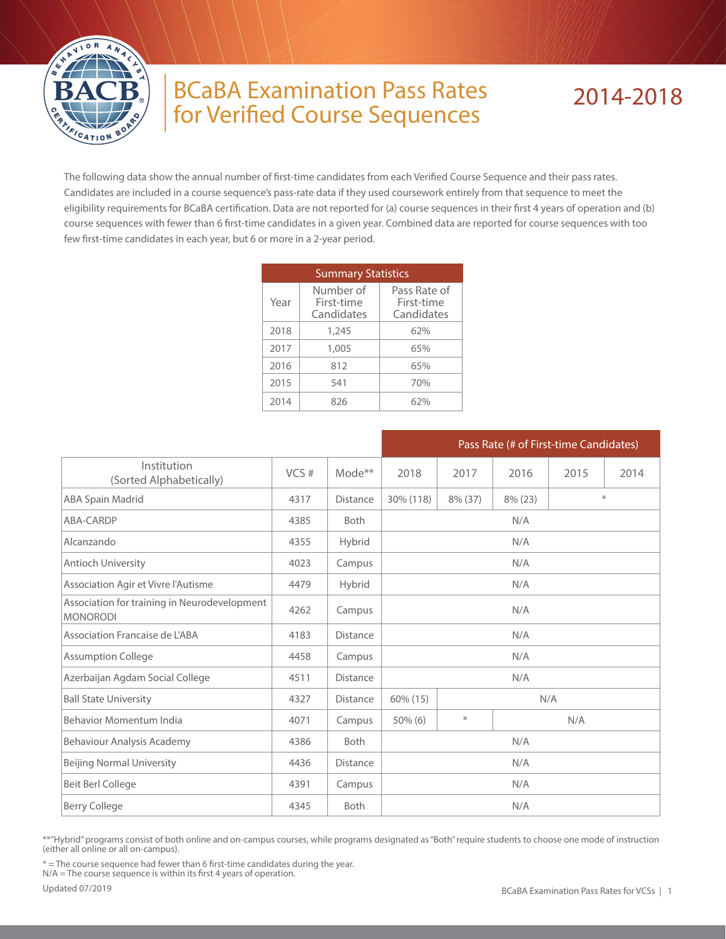

## BCaBA Examination Pass Rates for Verified Course Sequences

## 2014-2018

The following data show the annual number of first-time candidates from each Verified Course Sequence and their pass rates. Candidates are included in a course sequence's pass-rate data if they used coursework entirely from that sequence to meet the eligibility requirements for BCaBA certification. Data are not reported for (a) course sequences in their first 4 years of operation and (b) course sequences with fewer than 6 first-time candidates in a given year. Combined data are reported for course sequences with too few first-time candidates in each year, but 6 or more in a 2-year period.

|      | <b>Summary Statistics</b>             |                                          |  |  |  |  |
|------|---------------------------------------|------------------------------------------|--|--|--|--|
| Year | Number of<br>First-time<br>Candidates | Pass Rate of<br>First-time<br>Candidates |  |  |  |  |
| 2018 | 1,245                                 | 62%                                      |  |  |  |  |
| 2017 | 1,005                                 | 65%                                      |  |  |  |  |
| 2016 | 812                                   | 65%                                      |  |  |  |  |
| 2015 | 541                                   | 70%                                      |  |  |  |  |
| 2014 | 826                                   | 67%                                      |  |  |  |  |

|                                                                 |      |                    | Pass Rate (# of First-time Candidates) |         |            |      |      |  |  |
|-----------------------------------------------------------------|------|--------------------|----------------------------------------|---------|------------|------|------|--|--|
| Institution<br>(Sorted Alphabetically)                          | VCS# | Mode <sup>**</sup> | 2018                                   | 2017    | 2016       | 2015 | 2014 |  |  |
| ABA Spain Madrid                                                | 4317 | <b>Distance</b>    | 30% (118)                              | 8% (37) | $8\%$ (23) | ∗    |      |  |  |
| ABA-CARDP                                                       | 4385 | <b>Both</b>        | N/A                                    |         |            |      |      |  |  |
| Alcanzando                                                      | 4355 | Hybrid             |                                        |         | N/A        |      |      |  |  |
| Antioch University                                              | 4023 | Campus             |                                        | N/A     |            |      |      |  |  |
| Association Agir et Vivre l'Autisme                             | 4479 | Hybrid             | N/A                                    |         |            |      |      |  |  |
| Association for training in Neurodevelopment<br><b>MONORODI</b> | 4262 | Campus             | N/A                                    |         |            |      |      |  |  |
| Association Francaise de L'ABA                                  | 4183 | <b>Distance</b>    | N/A                                    |         |            |      |      |  |  |
| <b>Assumption College</b>                                       | 4458 | Campus             | N/A                                    |         |            |      |      |  |  |
| Azerbaijan Agdam Social College                                 | 4511 | <b>Distance</b>    | N/A                                    |         |            |      |      |  |  |
| <b>Ball State University</b>                                    | 4327 | <b>Distance</b>    | 60% (15)                               | N/A     |            |      |      |  |  |
| Behavior Momentum India                                         | 4071 | Campus             | $\ast$<br>N/A<br>$50\%$ (6)            |         |            |      |      |  |  |
| Behaviour Analysis Academy                                      | 4386 | <b>Both</b>        |                                        | N/A     |            |      |      |  |  |
| <b>Beijing Normal University</b>                                | 4436 | Distance           |                                        | N/A     |            |      |      |  |  |
| <b>Beit Berl College</b>                                        | 4391 | Campus             | N/A                                    |         |            |      |      |  |  |
| <b>Berry College</b>                                            | 4345 | <b>Both</b>        | N/A                                    |         |            |      |      |  |  |

\*\*"Hybrid" programs consist of both online and on-campus courses, while programs designated as "Both" require students to choose one mode of instruction (either all online or all on-campus).

\* = The course sequence had fewer than 6 first-time candidates during the year.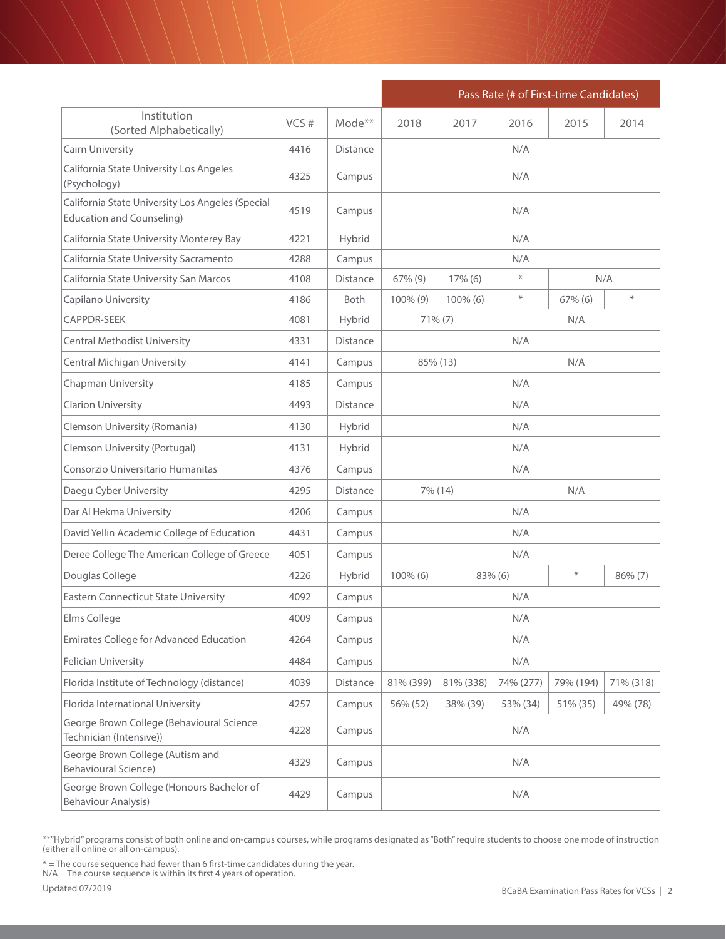|                                                                                      |      |                 | Pass Rate (# of First-time Candidates)           |            |          |            |            |  |
|--------------------------------------------------------------------------------------|------|-----------------|--------------------------------------------------|------------|----------|------------|------------|--|
| Institution<br>(Sorted Alphabetically)                                               | VCS# | Mode**          | 2018                                             | 2017       | 2016     | 2015       | 2014       |  |
| Cairn University                                                                     | 4416 | <b>Distance</b> |                                                  |            | N/A      |            |            |  |
| California State University Los Angeles<br>(Psychology)                              | 4325 | Campus          |                                                  |            | N/A      |            |            |  |
| California State University Los Angeles (Special<br><b>Education and Counseling)</b> | 4519 | Campus          | N/A                                              |            |          |            |            |  |
| California State University Monterey Bay                                             | 4221 | Hybrid          | N/A                                              |            |          |            |            |  |
| California State University Sacramento                                               | 4288 | Campus          |                                                  |            | N/A      |            |            |  |
| California State University San Marcos                                               | 4108 | <b>Distance</b> | 67% (9)                                          | $17\%$ (6) | $\ast$   |            | N/A        |  |
| Capilano University                                                                  | 4186 | <b>Both</b>     | 100% (9)                                         | 100% (6)   | $\ast$   | $67\%$ (6) | $\ast$     |  |
| <b>CAPPDR-SEEK</b>                                                                   | 4081 | Hybrid          |                                                  | $71\% (7)$ |          | N/A        |            |  |
| Central Methodist University                                                         | 4331 | <b>Distance</b> |                                                  |            | N/A      |            |            |  |
| Central Michigan University                                                          | 4141 | Campus          |                                                  | 85% (13)   |          | N/A        |            |  |
| Chapman University                                                                   | 4185 | Campus          | N/A                                              |            |          |            |            |  |
| Clarion University                                                                   | 4493 | <b>Distance</b> | N/A                                              |            |          |            |            |  |
| Clemson University (Romania)                                                         | 4130 | Hybrid          | N/A                                              |            |          |            |            |  |
| Clemson University (Portugal)                                                        | 4131 | Hybrid          | N/A                                              |            |          |            |            |  |
| Consorzio Universitario Humanitas                                                    | 4376 | Campus          | N/A                                              |            |          |            |            |  |
| Daegu Cyber University                                                               | 4295 | <b>Distance</b> | N/A<br>7% (14)                                   |            |          |            |            |  |
| Dar Al Hekma University                                                              | 4206 | Campus          |                                                  |            | N/A      |            |            |  |
| David Yellin Academic College of Education                                           | 4431 | Campus          |                                                  |            | N/A      |            |            |  |
| Deree College The American College of Greece                                         | 4051 | Campus          | N/A                                              |            |          |            |            |  |
| Douglas College                                                                      | 4226 | Hybrid          | 100% (6)                                         | 83% (6)    |          | $\ast$     | $86\%$ (7) |  |
| <b>Eastern Connecticut State University</b>                                          | 4092 | Campus          |                                                  |            | N/A      |            |            |  |
| Elms College                                                                         | 4009 | Campus          | N/A                                              |            |          |            |            |  |
| Emirates College for Advanced Education                                              | 4264 | Campus          | N/A                                              |            |          |            |            |  |
| <b>Felician University</b>                                                           | 4484 | Campus          |                                                  |            | N/A      |            |            |  |
| Florida Institute of Technology (distance)                                           | 4039 | Distance        | 81% (338)<br>79% (194)<br>81% (399)<br>74% (277) |            |          |            | 71% (318)  |  |
| Florida International University                                                     | 4257 | Campus          | 56% (52)                                         | 38% (39)   | 53% (34) | 51% (35)   | 49% (78)   |  |
| George Brown College (Behavioural Science<br>Technician (Intensive))                 | 4228 | Campus          | N/A                                              |            |          |            |            |  |
| George Brown College (Autism and<br><b>Behavioural Science)</b>                      | 4329 | Campus          | N/A                                              |            |          |            |            |  |
| George Brown College (Honours Bachelor of<br><b>Behaviour Analysis)</b>              | 4429 | Campus          | N/A                                              |            |          |            |            |  |

\* = The course sequence had fewer than 6 first-time candidates during the year.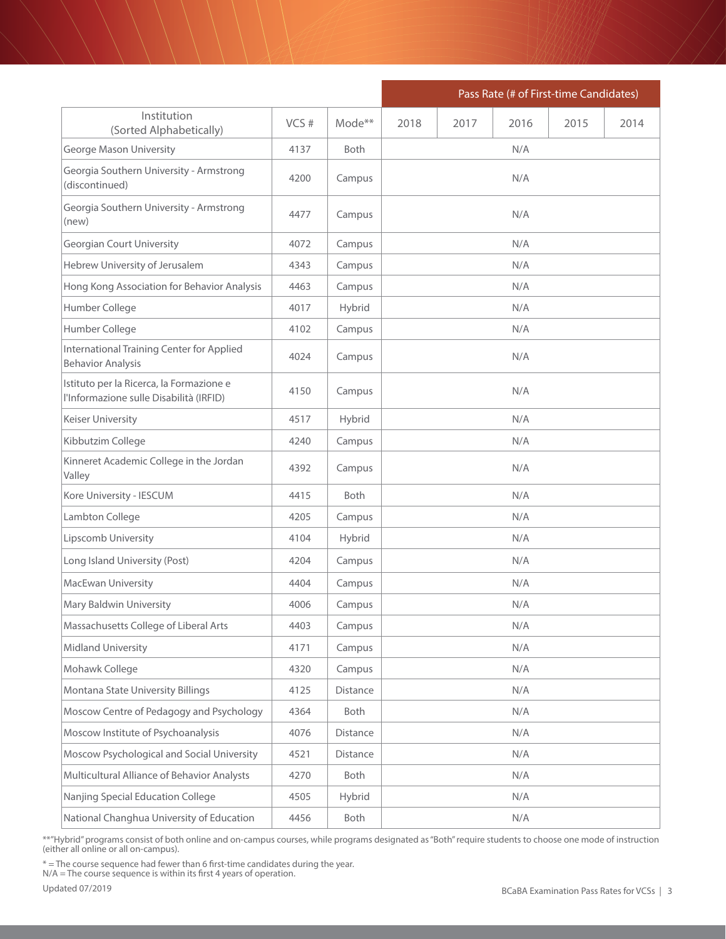|                                                                                     |      |                    | Pass Rate (# of First-time Candidates) |      |      |      |      |
|-------------------------------------------------------------------------------------|------|--------------------|----------------------------------------|------|------|------|------|
| Institution<br>(Sorted Alphabetically)                                              | VCS# | Mode <sup>**</sup> | 2018                                   | 2017 | 2016 | 2015 | 2014 |
| <b>George Mason University</b>                                                      | 4137 | <b>Both</b>        | N/A                                    |      |      |      |      |
| Georgia Southern University - Armstrong<br>(discontinued)                           | 4200 | Campus             |                                        |      |      |      |      |
| Georgia Southern University - Armstrong<br>(new)                                    | 4477 | Campus             |                                        |      | N/A  |      |      |
| <b>Georgian Court University</b>                                                    | 4072 | Campus             |                                        |      | N/A  |      |      |
| Hebrew University of Jerusalem                                                      | 4343 | Campus             |                                        |      | N/A  |      |      |
| Hong Kong Association for Behavior Analysis                                         | 4463 | Campus             |                                        |      | N/A  |      |      |
| Humber College                                                                      | 4017 | Hybrid             |                                        |      | N/A  |      |      |
| Humber College                                                                      | 4102 | Campus             |                                        |      | N/A  |      |      |
| International Training Center for Applied<br><b>Behavior Analysis</b>               | 4024 | Campus             |                                        |      | N/A  |      |      |
| Istituto per la Ricerca, la Formazione e<br>l'Informazione sulle Disabilità (IRFID) | 4150 | Campus             | N/A                                    |      |      |      |      |
| Keiser University                                                                   | 4517 | Hybrid             | N/A                                    |      |      |      |      |
| Kibbutzim College                                                                   | 4240 | Campus             | N/A                                    |      |      |      |      |
| Kinneret Academic College in the Jordan<br>Valley                                   | 4392 | Campus             | N/A                                    |      |      |      |      |
| Kore University - IESCUM                                                            | 4415 | Both               |                                        |      | N/A  |      |      |
| Lambton College                                                                     | 4205 | Campus             | N/A                                    |      |      |      |      |
| Lipscomb University                                                                 | 4104 | Hybrid             |                                        |      | N/A  |      |      |
| Long Island University (Post)                                                       | 4204 | Campus             | N/A                                    |      |      |      |      |
| MacEwan University                                                                  | 4404 | Campus             | N/A                                    |      |      |      |      |
| Mary Baldwin University                                                             | 4006 | Campus             |                                        |      | N/A  |      |      |
| Massachusetts College of Liberal Arts                                               | 4403 | Campus             |                                        |      | N/A  |      |      |
| Midland University                                                                  | 4171 | Campus             |                                        |      | N/A  |      |      |
| Mohawk College                                                                      | 4320 | Campus             |                                        |      | N/A  |      |      |
| Montana State University Billings                                                   | 4125 | Distance           |                                        |      | N/A  |      |      |
| Moscow Centre of Pedagogy and Psychology                                            | 4364 | Both               |                                        | N/A  |      |      |      |
| Moscow Institute of Psychoanalysis                                                  | 4076 | Distance           |                                        |      | N/A  |      |      |
| Moscow Psychological and Social University                                          | 4521 | Distance           |                                        |      | N/A  |      |      |
| Multicultural Alliance of Behavior Analysts                                         | 4270 | Both               |                                        |      | N/A  |      |      |
| Nanjing Special Education College                                                   | 4505 | Hybrid             | N/A                                    |      |      |      |      |
| National Changhua University of Education                                           | 4456 | Both               | N/A                                    |      |      |      |      |

\* = The course sequence had fewer than 6 first-time candidates during the year.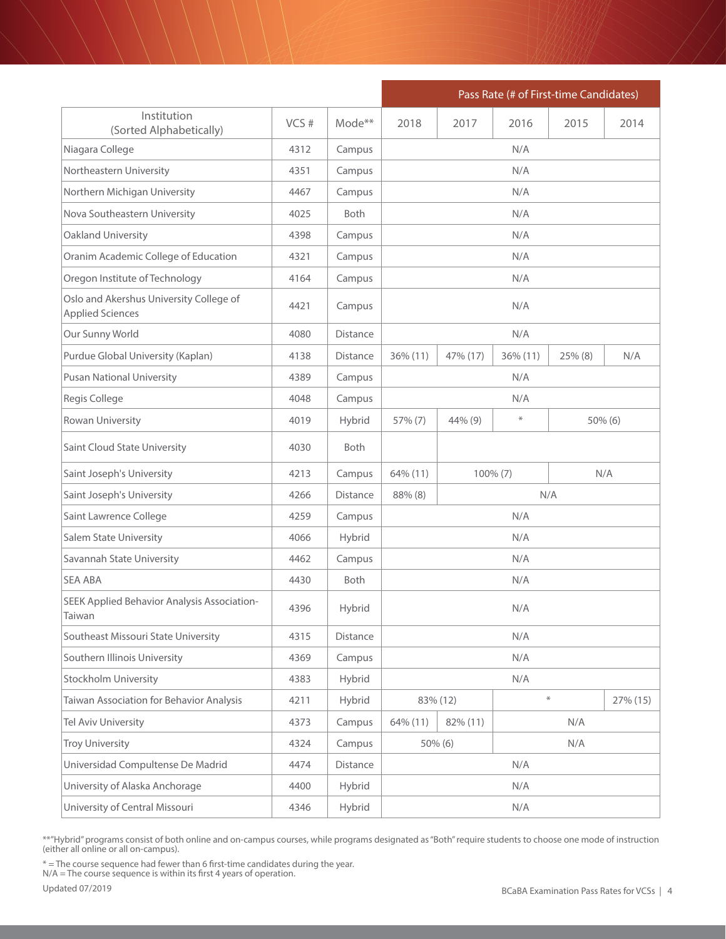|                                                                    |                |                    | Pass Rate (# of First-time Candidates)  |          |          |            |          |  |  |
|--------------------------------------------------------------------|----------------|--------------------|-----------------------------------------|----------|----------|------------|----------|--|--|
| Institution<br>(Sorted Alphabetically)                             | VCS#           | Mode <sup>**</sup> | 2018                                    | 2017     | 2016     | 2015       | 2014     |  |  |
| Niagara College                                                    | 4312           | Campus             |                                         | N/A      |          |            |          |  |  |
| Northeastern University                                            | 4351           | Campus             | N/A                                     |          |          |            |          |  |  |
| Northern Michigan University                                       | 4467           | Campus             |                                         | N/A      |          |            |          |  |  |
| Nova Southeastern University                                       | 4025           | <b>Both</b>        |                                         |          | N/A      |            |          |  |  |
| Oakland University                                                 | 4398           | Campus             |                                         |          | N/A      |            |          |  |  |
| Oranim Academic College of Education                               | 4321           | Campus             |                                         |          | N/A      |            |          |  |  |
| Oregon Institute of Technology                                     | 4164           | Campus             |                                         |          | N/A      |            |          |  |  |
| Oslo and Akershus University College of<br><b>Applied Sciences</b> | 4421           | Campus             |                                         |          | N/A      |            |          |  |  |
| Our Sunny World                                                    | 4080           | Distance           |                                         |          | N/A      |            |          |  |  |
| Purdue Global University (Kaplan)                                  | 4138           | Distance           | 36% (11)                                | 47% (17) | 36% (11) | $25\%$ (8) | N/A      |  |  |
| <b>Pusan National University</b>                                   | 4389           | Campus             | N/A                                     |          |          |            |          |  |  |
| Regis College                                                      | 4048           | Campus             | N/A                                     |          |          |            |          |  |  |
| Rowan University                                                   | 4019           | Hybrid             | $\ast$<br>44% (9)<br>57% (7)<br>50% (6) |          |          |            |          |  |  |
| Saint Cloud State University                                       | 4030           | <b>Both</b>        |                                         |          |          |            |          |  |  |
| Saint Joseph's University                                          | 4213           | Campus             | 64% (11)<br>$100\% (7)$                 |          |          | N/A        |          |  |  |
| Saint Joseph's University                                          | 4266           | Distance           | N/A<br>88% (8)                          |          |          |            |          |  |  |
| Saint Lawrence College                                             | 4259           | Campus             |                                         |          | N/A      |            |          |  |  |
| <b>Salem State University</b>                                      | Hybrid<br>4066 |                    |                                         | N/A      |          |            |          |  |  |
| Savannah State University                                          | 4462           | Campus             | N/A                                     |          |          |            |          |  |  |
| <b>SEA ABA</b>                                                     | 4430           | Both               |                                         | N/A      |          |            |          |  |  |
| SEEK Applied Behavior Analysis Association-<br>Taiwan              | 4396           | Hybrid             |                                         | N/A      |          |            |          |  |  |
| Southeast Missouri State University                                | 4315           | Distance           |                                         | N/A      |          |            |          |  |  |
| Southern Illinois University                                       | 4369           | Campus             |                                         |          | N/A      |            |          |  |  |
| Stockholm University                                               | 4383           | Hybrid             |                                         |          | N/A      |            |          |  |  |
| Taiwan Association for Behavior Analysis                           | 4211           | Hybrid             |                                         | 83% (12) | $\ast$   |            | 27% (15) |  |  |
| Tel Aviv University                                                | 4373           | Campus             | N/A<br>64% (11)<br>82% (11)             |          |          |            |          |  |  |
| <b>Troy University</b>                                             | 4324           | Campus             |                                         | 50% (6)  |          | N/A        |          |  |  |
| Universidad Compultense De Madrid                                  | 4474           | Distance           |                                         |          | N/A      |            |          |  |  |
| University of Alaska Anchorage                                     | 4400           | Hybrid             | N/A                                     |          |          |            |          |  |  |
| University of Central Missouri                                     | 4346           | Hybrid             | N/A                                     |          |          |            |          |  |  |

\* = The course sequence had fewer than 6 first-time candidates during the year.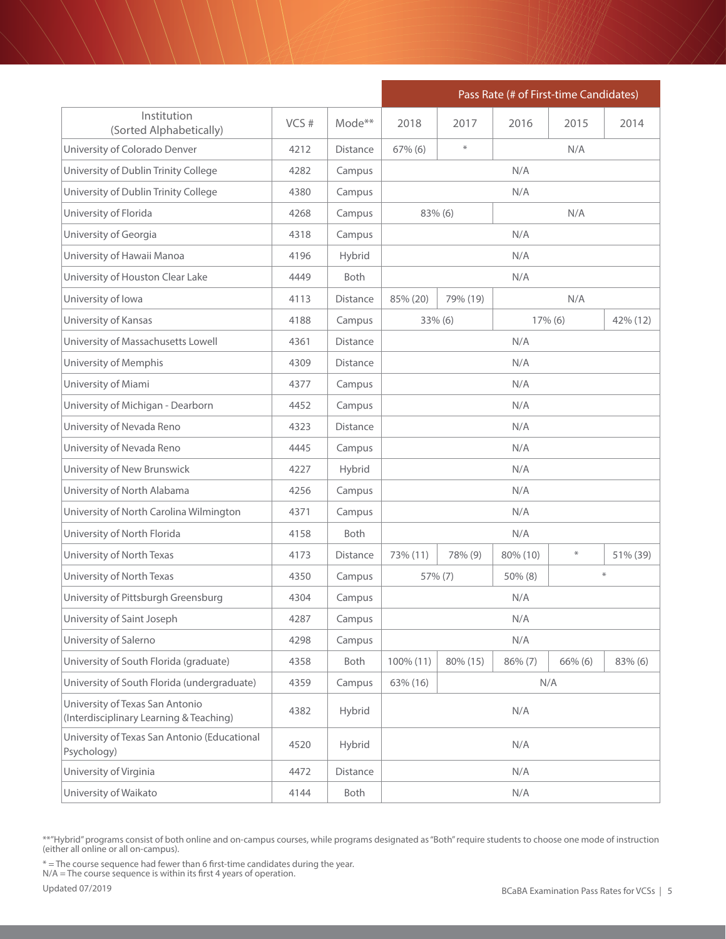|                                                                            |      |                 | Pass Rate (# of First-time Candidates)              |          |                     |      |          |
|----------------------------------------------------------------------------|------|-----------------|-----------------------------------------------------|----------|---------------------|------|----------|
| Institution<br>(Sorted Alphabetically)                                     | VCS# | $Mode**$        | 2018                                                | 2017     | 2016                | 2015 | 2014     |
| University of Colorado Denver                                              | 4212 | <b>Distance</b> | $67\%$ (6)                                          | $\ast$   | N/A                 |      |          |
| University of Dublin Trinity College                                       | 4282 | Campus          |                                                     |          | N/A                 |      |          |
| University of Dublin Trinity College<br>4380<br>Campus<br>N/A              |      |                 |                                                     |          |                     |      |          |
| University of Florida                                                      | 4268 | Campus          |                                                     | 83% (6)  |                     | N/A  |          |
| University of Georgia                                                      | 4318 | Campus          | N/A                                                 |          |                     |      |          |
| University of Hawaii Manoa                                                 | 4196 | Hybrid          | N/A                                                 |          |                     |      |          |
| University of Houston Clear Lake                                           | 4449 | Both            |                                                     |          | N/A                 |      |          |
| University of Iowa                                                         | 4113 | <b>Distance</b> | 85% (20)                                            | 79% (19) |                     | N/A  |          |
| University of Kansas                                                       | 4188 | Campus          |                                                     | 33% (6)  | 17% (6)<br>42% (12) |      |          |
| University of Massachusetts Lowell                                         | 4361 | <b>Distance</b> |                                                     |          | N/A                 |      |          |
| University of Memphis                                                      | 4309 | <b>Distance</b> |                                                     |          | N/A                 |      |          |
| University of Miami                                                        | 4377 | Campus          | N/A                                                 |          |                     |      |          |
| University of Michigan - Dearborn                                          | 4452 | Campus          | N/A                                                 |          |                     |      |          |
| University of Nevada Reno                                                  | 4323 | <b>Distance</b> | N/A                                                 |          |                     |      |          |
| University of Nevada Reno                                                  | 4445 | Campus          | N/A                                                 |          |                     |      |          |
| University of New Brunswick                                                | 4227 | Hybrid          | N/A                                                 |          |                     |      |          |
| University of North Alabama                                                | 4256 | Campus          | N/A                                                 |          |                     |      |          |
| University of North Carolina Wilmington                                    | 4371 | Campus          |                                                     |          | N/A                 |      |          |
| University of North Florida                                                | 4158 | Both            | N/A                                                 |          |                     |      |          |
| University of North Texas                                                  | 4173 | <b>Distance</b> | $\divideontimes$<br>73% (11)<br>78% (9)<br>80% (10) |          |                     |      | 51% (39) |
| University of North Texas                                                  | 4350 | Campus          |                                                     | 57% (7)  | 50% (8)             |      | $\ast$   |
| University of Pittsburgh Greensburg                                        | 4304 | Campus          |                                                     |          | N/A                 |      |          |
| University of Saint Joseph                                                 | 4287 | Campus          |                                                     |          | N/A                 |      |          |
| University of Salerno                                                      | 4298 | Campus          |                                                     |          | N/A                 |      |          |
| University of South Florida (graduate)                                     | 4358 | Both            | 100% (11)<br>80% (15)<br>86% (7)<br>$66\%$ (6)      |          |                     |      | 83% (6)  |
| University of South Florida (undergraduate)                                | 4359 | Campus          | 63% (16)                                            |          |                     | N/A  |          |
| University of Texas San Antonio<br>(Interdisciplinary Learning & Teaching) | 4382 | Hybrid          | N/A                                                 |          |                     |      |          |
| University of Texas San Antonio (Educational<br>Psychology)                | 4520 | Hybrid          | N/A                                                 |          |                     |      |          |
| University of Virginia                                                     | 4472 | Distance        |                                                     |          | N/A                 |      |          |
| University of Waikato                                                      | 4144 | Both            | N/A                                                 |          |                     |      |          |

\* = The course sequence had fewer than 6 first-time candidates during the year.